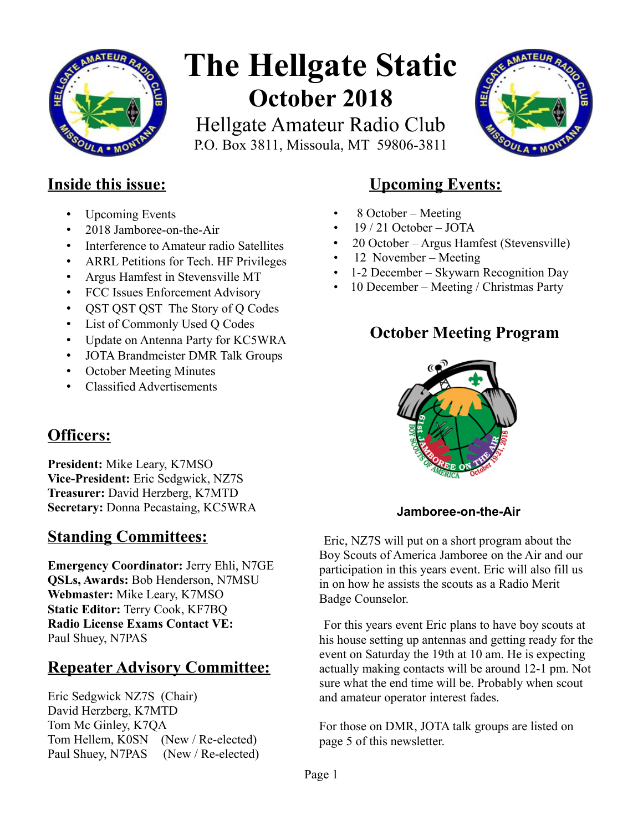

# **The Hellgate Static October 2018**

Hellgate Amateur Radio Club P.O. Box 3811, Missoula, MT 59806-3811



## **Inside this issue:**

- Upcoming Events
- 2018 Jamboree-on-the-Air
- Interference to Amateur radio Satellites
- ARRL Petitions for Tech. HF Privileges
- Argus Hamfest in Stevensville MT
- FCC Issues Enforcement Advisory
- OST OST OST The Story of O Codes
- List of Commonly Used Q Codes
- Update on Antenna Party for KC5WRA
- JOTA Brandmeister DMR Talk Groups
- October Meeting Minutes
- Classified Advertisements

# **Officers:**

**President:** Mike Leary, K7MSO **Vice-President:** Eric Sedgwick, NZ7S **Treasurer:** David Herzberg, K7MTD **Secretary:** Donna Pecastaing, KC5WRA

# **Standing Committees:**

**Emergency Coordinator:** Jerry Ehli, N7GE **QSLs, Awards:** Bob Henderson, N7MSU **Webmaster:** Mike Leary, K7MSO **Static Editor:** Terry Cook, KF7BQ **Radio License Exams Contact VE:** Paul Shuey, N7PAS

# **Repeater Advisory Committee:**

Eric Sedgwick NZ7S (Chair) David Herzberg, K7MTD Tom Mc Ginley, K7QA Tom Hellem, K0SN (New / Re-elected) Paul Shuey, N7PAS (New / Re-elected)

# **Upcoming Events:**

- 8 October Meeting
- $19/21$  October JOTA
- 20 October Argus Hamfest (Stevensville)
- 12 November Meeting
- 1-2 December Skywarn Recognition Day
- 10 December Meeting / Christmas Party

# **October Meeting Program**



**Jamboree-on-the-Air**

Eric, NZ7S will put on a short program about the Boy Scouts of America Jamboree on the Air and our participation in this years event. Eric will also fill us in on how he assists the scouts as a Radio Merit Badge Counselor.

For this years event Eric plans to have boy scouts at his house setting up antennas and getting ready for the event on Saturday the 19th at 10 am. He is expecting actually making contacts will be around 12-1 pm. Not sure what the end time will be. Probably when scout and amateur operator interest fades.

For those on DMR, JOTA talk groups are listed on page 5 of this newsletter.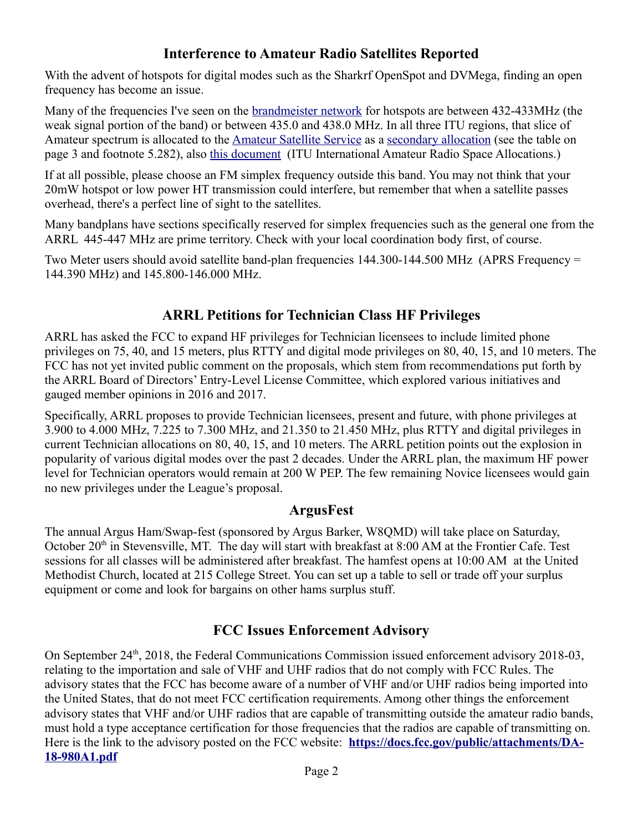### **Interference to Amateur Radio Satellites Reported**

With the advent of hotspots for digital modes such as the Sharkrf OpenSpot and DVMega, finding an open frequency has become an issue.

Many of the frequencies I've seen on the [brandmeister network](https://brandmeister.network/) for hotspots are between 432-433MHz (the weak signal portion of the band) or between 435.0 and 438.0 MHz. In all three ITU regions, that slice of Amateur spectrum is allocated to the [Amateur Satellite Service](http://www.itu.int/en/ITU-R/space/Pages/SupportAmateur.aspx) as a [secondary allocation](http://www.itu.int/en/ITU-R/space/AmateurDoc/ARS-ART5_E.pdf) (see the table on page 3 and footnote 5.282), also [this document](http://www.itu.int/en/ITU-R/space/AmateurDoc/AmateurSatServiceFreq.pdf) (ITU International Amateur Radio Space Allocations.)

If at all possible, please choose an FM simplex frequency outside this band. You may not think that your 20mW hotspot or low power HT transmission could interfere, but remember that when a satellite passes overhead, there's a perfect line of sight to the satellites.

Many bandplans have sections specifically reserved for simplex frequencies such as the general one from the ARRL 445-447 MHz are prime territory. Check with your local coordination body first, of course.

Two Meter users should avoid satellite band-plan frequencies 144.300-144.500 MHz (APRS Frequency = 144.390 MHz) and 145.800-146.000 MHz.

### **ARRL Petitions for Technician Class HF Privileges**

ARRL has asked the FCC to expand HF privileges for Technician licensees to include limited phone privileges on 75, 40, and 15 meters, plus RTTY and digital mode privileges on 80, 40, 15, and 10 meters. The FCC has not yet invited public comment on the proposals, which stem from recommendations put forth by the ARRL Board of Directors' Entry-Level License Committee, which explored various initiatives and gauged member opinions in 2016 and 2017.

Specifically, ARRL proposes to provide Technician licensees, present and future, with phone privileges at 3.900 to 4.000 MHz, 7.225 to 7.300 MHz, and 21.350 to 21.450 MHz, plus RTTY and digital privileges in current Technician allocations on 80, 40, 15, and 10 meters. The ARRL petition points out the explosion in popularity of various digital modes over the past 2 decades. Under the ARRL plan, the maximum HF power level for Technician operators would remain at 200 W PEP. The few remaining Novice licensees would gain no new privileges under the League's proposal.

### **ArgusFest**

The annual Argus Ham/Swap-fest (sponsored by Argus Barker, W8QMD) will take place on Saturday, October 20<sup>th</sup> in Stevensville, MT. The day will start with breakfast at 8:00 AM at the Frontier Cafe. Test sessions for all classes will be administered after breakfast. The hamfest opens at 10:00 AM at the United Methodist Church, located at 215 College Street. You can set up a table to sell or trade off your surplus equipment or come and look for bargains on other hams surplus stuff.

### **FCC Issues Enforcement Advisory**

On September 24<sup>th</sup>, 2018, the Federal Communications Commission issued enforcement advisory 2018-03, relating to the importation and sale of VHF and UHF radios that do not comply with FCC Rules. The advisory states that the FCC has become aware of a number of VHF and/or UHF radios being imported into the United States, that do not meet FCC certification requirements. Among other things the enforcement advisory states that VHF and/or UHF radios that are capable of transmitting outside the amateur radio bands, must hold a type acceptance certification for those frequencies that the radios are capable of transmitting on. Here is the link to the advisory posted on the FCC website: **[https://docs.fcc.gov/public/attachments/DA-](https://docs.fcc.gov/public/attachments/DA-18-980A1.pdf)[18-980A1.pdf](https://docs.fcc.gov/public/attachments/DA-18-980A1.pdf)**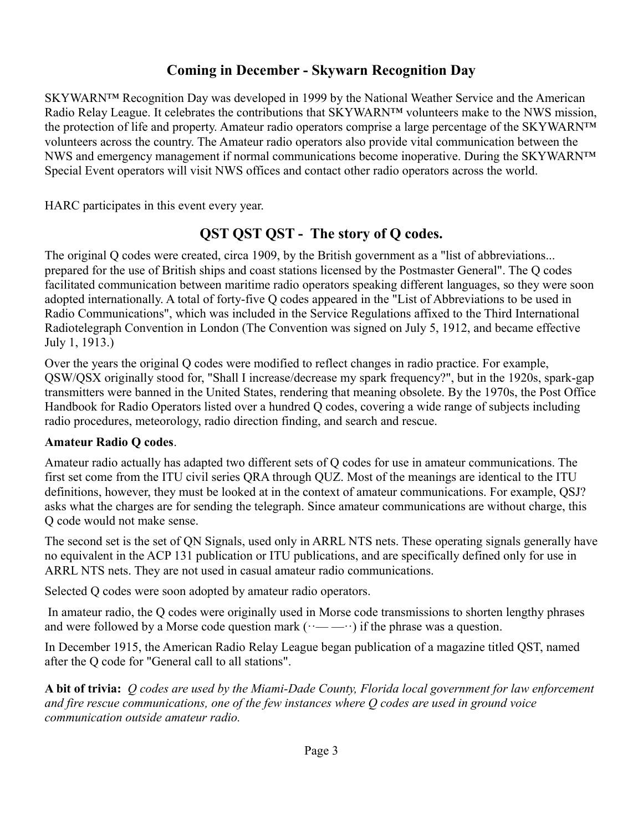## **Coming in December - Skywarn Recognition Day**

SKYWARN™ Recognition Day was developed in 1999 by the National Weather Service and the American Radio Relay League. It celebrates the contributions that SKYWARN™ volunteers make to the NWS mission, the protection of life and property. Amateur radio operators comprise a large percentage of the SKYWARN™ volunteers across the country. The Amateur radio operators also provide vital communication between the NWS and emergency management if normal communications become inoperative. During the SKYWARN™ Special Event operators will visit NWS offices and contact other radio operators across the world.

HARC participates in this event every year.

## **QST QST QST - The story of Q codes.**

The original Q codes were created, circa 1909, by the British government as a "list of abbreviations... prepared for the use of British ships and coast stations licensed by the Postmaster General". The Q codes facilitated communication between maritime radio operators speaking different languages, so they were soon adopted internationally. A total of forty-five Q codes appeared in the "List of Abbreviations to be used in Radio Communications", which was included in the Service Regulations affixed to the Third International Radiotelegraph Convention in London (The Convention was signed on July 5, 1912, and became effective July 1, 1913.)

Over the years the original Q codes were modified to reflect changes in radio practice. For example, QSW/QSX originally stood for, "Shall I increase/decrease my spark frequency?", but in the 1920s, spark-gap transmitters were banned in the United States, rendering that meaning obsolete. By the 1970s, the Post Office Handbook for Radio Operators listed over a hundred Q codes, covering a wide range of subjects including radio procedures, meteorology, radio direction finding, and search and rescue.

#### **Amateur Radio Q codes**.

Amateur radio actually has adapted two different sets of Q codes for use in amateur communications. The first set come from the ITU civil series QRA through QUZ. Most of the meanings are identical to the ITU definitions, however, they must be looked at in the context of amateur communications. For example, QSJ? asks what the charges are for sending the telegraph. Since amateur communications are without charge, this Q code would not make sense.

The second set is the set of QN Signals, used only in ARRL NTS nets. These operating signals generally have no equivalent in the ACP 131 publication or ITU publications, and are specifically defined only for use in ARRL NTS nets. They are not used in casual amateur radio communications.

Selected Q codes were soon adopted by amateur radio operators.

 In amateur radio, the Q codes were originally used in Morse code transmissions to shorten lengthy phrases and were followed by a Morse code question mark  $(\cdots \cdots \cdots)$  if the phrase was a question.

In December 1915, the American Radio Relay League began publication of a magazine titled QST, named after the Q code for "General call to all stations".

**A bit of trivia:** *Q codes are used by the Miami-Dade County, Florida local government for law enforcement and fire rescue communications, one of the few instances where Q codes are used in ground voice communication outside amateur radio.*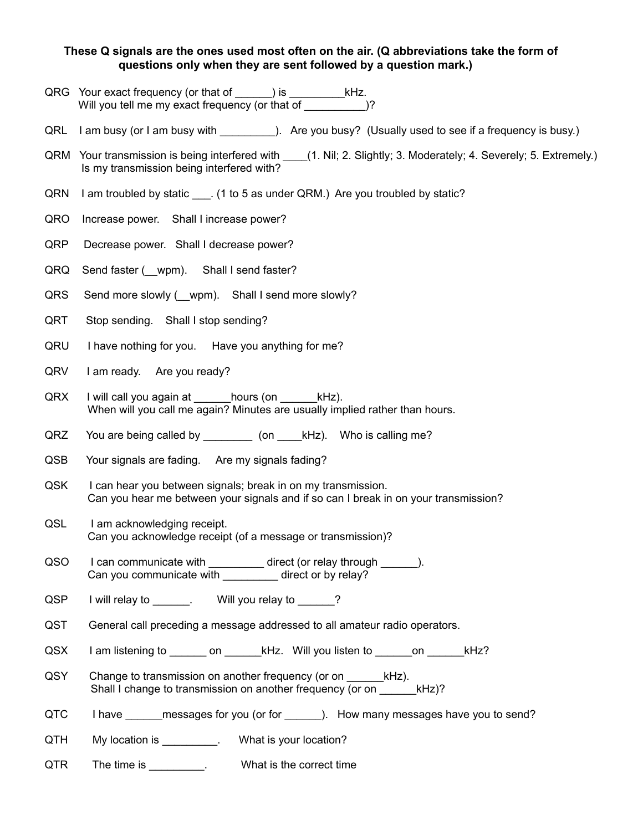#### **These Q signals are the ones used most often on the air. (Q abbreviations take the form of questions only when they are sent followed by a question mark.)**

- QRG Your exact frequency (or that of \_\_\_\_\_) is \_\_\_\_\_\_\_\_\_\_\_kHz. Will you tell me my exact frequency (or that of \_\_\_\_\_\_\_\_\_\_\_)?
- QRL I am busy (or I am busy with  $QRL$  are you busy? (Usually used to see if a frequency is busy.)
- QRM Your transmission is being interfered with \_\_\_\_(1. Nil; 2. Slightly; 3. Moderately; 4. Severely; 5. Extremely.) Is my transmission being interfered with?
- QRN I am troubled by static \_\_\_. (1 to 5 as under QRM.) Are you troubled by static?
- QRO Increase power. Shall I increase power?
- QRP Decrease power. Shall I decrease power?
- QRQ Send faster ( \_ wpm). Shall I send faster?
- QRS Send more slowly ( \_ wpm). Shall I send more slowly?
- QRT Stop sending. Shall I stop sending?
- QRU I have nothing for you. Have you anything for me?
- QRV I am ready. Are you ready?
- QRX I will call you again at hours (on kHz). When will you call me again? Minutes are usually implied rather than hours.
- QRZ You are being called by \_\_\_\_\_\_\_\_\_ (on \_\_\_\_kHz). Who is calling me?
- QSB Your signals are fading. Are my signals fading?
- QSK I can hear you between signals; break in on my transmission. Can you hear me between your signals and if so can I break in on your transmission?
- QSL I am acknowledging receipt. Can you acknowledge receipt (of a message or transmission)?
- QSO I can communicate with \_\_\_\_\_\_\_\_\_ direct (or relay through \_\_\_\_\_). Can you communicate with \_\_\_\_\_\_\_\_\_ direct or by relay?
- QSP I will relay to  $\blacksquare$ . Will you relay to  $\blacksquare$ ?
- QST General call preceding a message addressed to all amateur radio operators.
- QSX I am listening to \_\_\_\_\_\_\_ on \_\_\_\_\_\_\_ kHz. Will you listen to \_\_\_\_\_\_\_ on \_\_\_\_\_\_\_ kHz?
- QSY Change to transmission on another frequency (or on kHz). Shall I change to transmission on another frequency (or on  $kHz$ )?
- QTC I have \_\_\_\_\_\_\_ messages for you (or for \_\_\_\_\_\_\_). How many messages have you to send?
- QTH My location is example 1. What is your location?
- QTR The time is \_\_\_\_\_\_\_\_\_. What is the correct time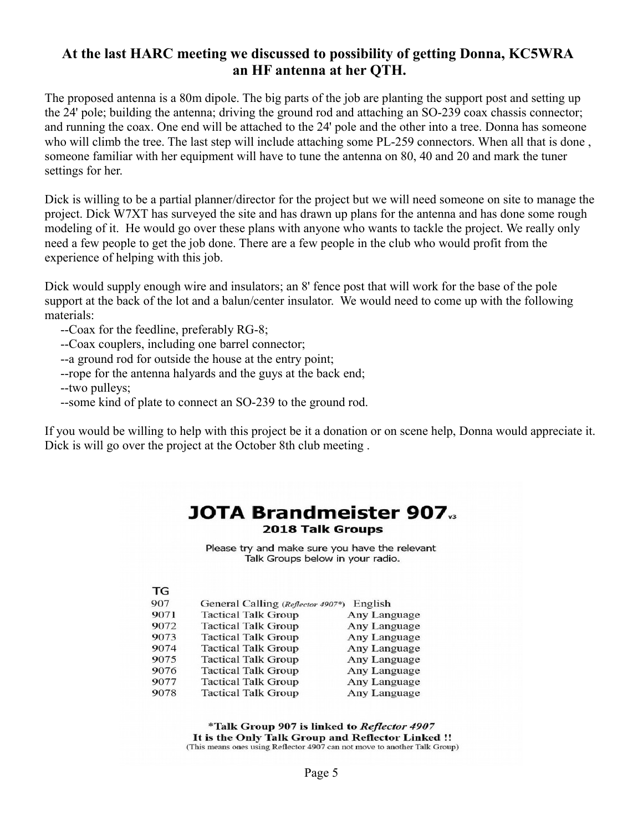#### **At the last HARC meeting we discussed to possibility of getting Donna, KC5WRA an HF antenna at her QTH.**

The proposed antenna is a 80m dipole. The big parts of the job are planting the support post and setting up the 24' pole; building the antenna; driving the ground rod and attaching an SO-239 coax chassis connector; and running the coax. One end will be attached to the 24' pole and the other into a tree. Donna has someone who will climb the tree. The last step will include attaching some PL-259 connectors. When all that is done, someone familiar with her equipment will have to tune the antenna on 80, 40 and 20 and mark the tuner settings for her.

Dick is willing to be a partial planner/director for the project but we will need someone on site to manage the project. Dick W7XT has surveyed the site and has drawn up plans for the antenna and has done some rough modeling of it. He would go over these plans with anyone who wants to tackle the project. We really only need a few people to get the job done. There are a few people in the club who would profit from the experience of helping with this job.

Dick would supply enough wire and insulators; an 8' fence post that will work for the base of the pole support at the back of the lot and a balun/center insulator. We would need to come up with the following materials:

--Coax for the feedline, preferably RG-8;

--Coax couplers, including one barrel connector;

--a ground rod for outside the house at the entry point;

--rope for the antenna halyards and the guys at the back end;

--two pulleys;

--some kind of plate to connect an SO-239 to the ground rod.

If you would be willing to help with this project be it a donation or on scene help, Donna would appreciate it. Dick is will go over the project at the October 8th club meeting .

#### **JOTA Brandmeister 907. 2018 Talk Groups**

Please try and make sure you have the relevant Talk Groups below in your radio.

| 907  | General Calling (Reflector 4907*) | English      |
|------|-----------------------------------|--------------|
| 9071 | <b>Tactical Talk Group</b>        | Any Language |
| 9072 | <b>Tactical Talk Group</b>        | Any Language |
| 9073 | <b>Tactical Talk Group</b>        | Any Language |
| 9074 | <b>Tactical Talk Group</b>        | Any Language |
| 9075 | <b>Tactical Talk Group</b>        | Any Language |
| 9076 | <b>Tactical Talk Group</b>        | Any Language |
| 9077 | <b>Tactical Talk Group</b>        | Any Language |
| 9078 | <b>Tactical Talk Group</b>        | Any Language |

\*Talk Group 907 is linked to Reflector 4907 It is the Only Talk Group and Reflector Linked !! (This means ones using Reflector 4907 can not move to another Talk Group)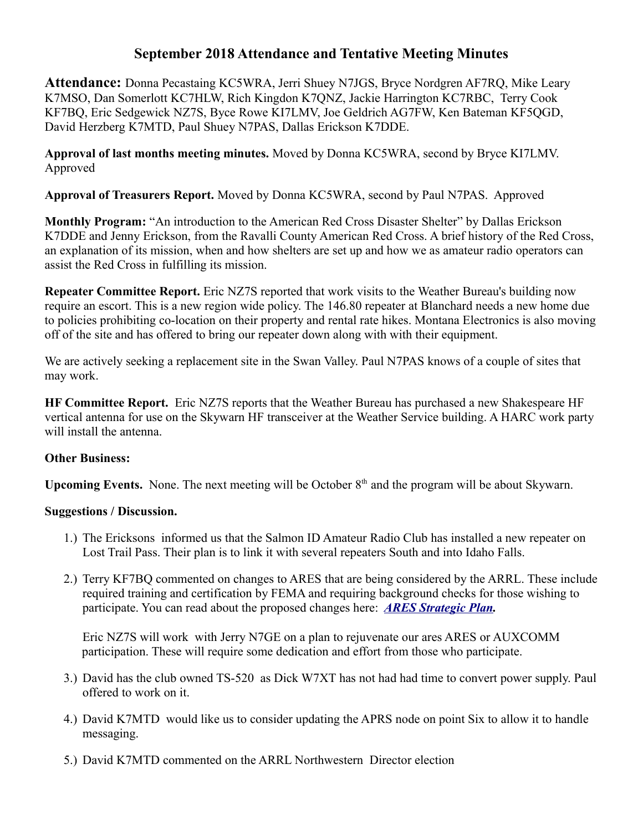#### **September 2018 Attendance and Tentative Meeting Minutes**

**Attendance:** Donna Pecastaing KC5WRA, Jerri Shuey N7JGS, Bryce Nordgren AF7RQ, Mike Leary K7MSO, Dan Somerlott KC7HLW, Rich Kingdon K7QNZ, Jackie Harrington KC7RBC, Terry Cook KF7BQ, Eric Sedgewick NZ7S, Byce Rowe KI7LMV, Joe Geldrich AG7FW, Ken Bateman KF5QGD, David Herzberg K7MTD, Paul Shuey N7PAS, Dallas Erickson K7DDE.

**Approval of last months meeting minutes.** Moved by Donna KC5WRA, second by Bryce KI7LMV. Approved

**Approval of Treasurers Report.** Moved by Donna KC5WRA, second by Paul N7PAS. Approved

**Monthly Program:** "An introduction to the American Red Cross Disaster Shelter" by Dallas Erickson K7DDE and Jenny Erickson, from the Ravalli County American Red Cross. A brief history of the Red Cross, an explanation of its mission, when and how shelters are set up and how we as amateur radio operators can assist the Red Cross in fulfilling its mission.

**Repeater Committee Report.** Eric NZ7S reported that work visits to the Weather Bureau's building now require an escort. This is a new region wide policy. The 146.80 repeater at Blanchard needs a new home due to policies prohibiting co-location on their property and rental rate hikes. Montana Electronics is also moving off of the site and has offered to bring our repeater down along with with their equipment.

We are actively seeking a replacement site in the Swan Valley. Paul N7PAS knows of a couple of sites that may work.

**HF Committee Report.** Eric NZ7S reports that the Weather Bureau has purchased a new Shakespeare HF vertical antenna for use on the Skywarn HF transceiver at the Weather Service building. A HARC work party will install the antenna.

#### **Other Business:**

**Upcoming Events.** None. The next meeting will be October 8<sup>th</sup> and the program will be about Skywarn.

#### **Suggestions / Discussion.**

- 1.) The Ericksons informed us that the Salmon ID Amateur Radio Club has installed a new repeater on Lost Trail Pass. Their plan is to link it with several repeaters South and into Idaho Falls.
- 2.) Terry KF7BQ commented on changes to ARES that are being considered by the ARRL. These include required training and certification by FEMA and requiring background checks for those wishing to participate. You can read about the proposed changes here: *[ARES Strategic Plan.](http://www.arrl.org/files/file/Media%20&%20PR/ARES/ARES%20Strategic%20Plan%20-%20final%20-%20PSC.pdf)*

Eric NZ7S will work with Jerry N7GE on a plan to rejuvenate our ares ARES or AUXCOMM participation. These will require some dedication and effort from those who participate.

- 3.) David has the club owned TS-520 as Dick W7XT has not had had time to convert power supply. Paul offered to work on it.
- 4.) David K7MTD would like us to consider updating the APRS node on point Six to allow it to handle messaging.
- 5.) David K7MTD commented on the ARRL Northwestern Director election